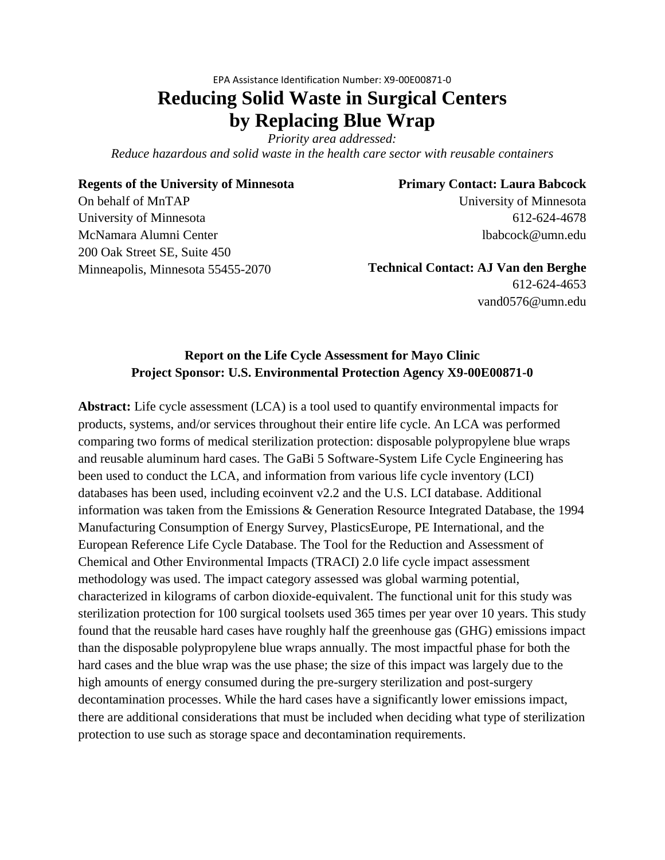# EPA Assistance Identification Number: X9-00E00871-0 **Reducing Solid Waste in Surgical Centers by Replacing Blue Wrap**

*Priority area addressed:*

*Reduce hazardous and solid waste in the health care sector with reusable containers*

## **Regents of the University of Minnesota**

## **Primary Contact: Laura Babcock**

On behalf of MnTAP University of Minnesota McNamara Alumni Center 200 Oak Street SE, Suite 450 Minneapolis, Minnesota 55455-2070 University of Minnesota 612-624-4678 lbabcock@umn.edu

**Technical Contact: AJ Van den Berghe**

612-624-4653 vand0576@umn.edu

## **Report on the Life Cycle Assessment for Mayo Clinic Project Sponsor: U.S. Environmental Protection Agency X9-00E00871-0**

**Abstract:** Life cycle assessment (LCA) is a tool used to quantify environmental impacts for products, systems, and/or services throughout their entire life cycle. An LCA was performed comparing two forms of medical sterilization protection: disposable polypropylene blue wraps and reusable aluminum hard cases. The GaBi 5 Software-System Life Cycle Engineering has been used to conduct the LCA, and information from various life cycle inventory (LCI) databases has been used, including ecoinvent v2.2 and the U.S. LCI database. Additional information was taken from the Emissions & Generation Resource Integrated Database, the 1994 Manufacturing Consumption of Energy Survey, PlasticsEurope, PE International, and the European Reference Life Cycle Database. The Tool for the Reduction and Assessment of Chemical and Other Environmental Impacts (TRACI) 2.0 life cycle impact assessment methodology was used. The impact category assessed was global warming potential, characterized in kilograms of carbon dioxide-equivalent. The functional unit for this study was sterilization protection for 100 surgical toolsets used 365 times per year over 10 years. This study found that the reusable hard cases have roughly half the greenhouse gas (GHG) emissions impact than the disposable polypropylene blue wraps annually. The most impactful phase for both the hard cases and the blue wrap was the use phase; the size of this impact was largely due to the high amounts of energy consumed during the pre-surgery sterilization and post-surgery decontamination processes. While the hard cases have a significantly lower emissions impact, there are additional considerations that must be included when deciding what type of sterilization protection to use such as storage space and decontamination requirements.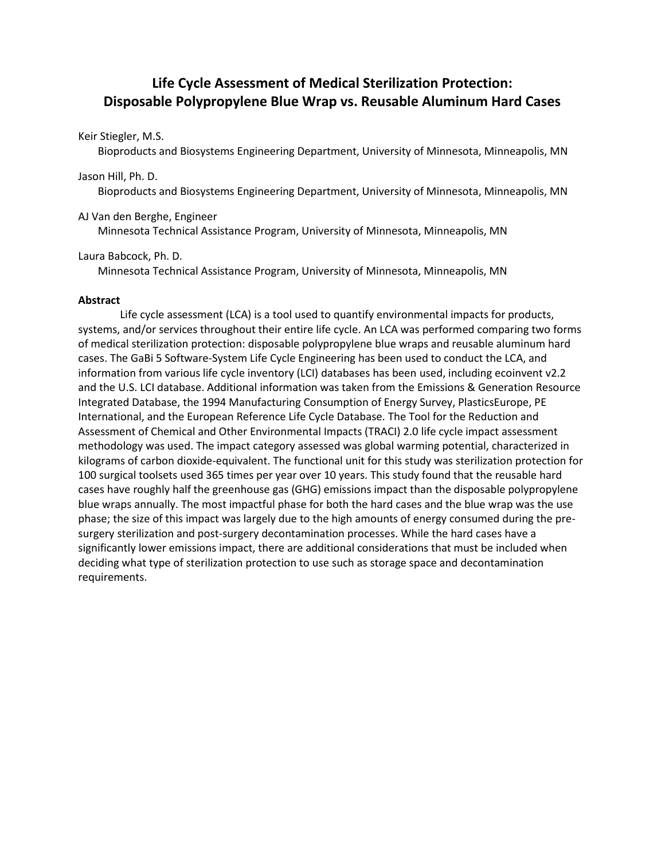## **Life Cycle Assessment of Medical Sterilization Protection: Disposable Polypropylene Blue Wrap vs. Reusable Aluminum Hard Cases**

### Keir Stiegler, M.S.

Bioproducts and Biosystems Engineering Department, University of Minnesota, Minneapolis, MN

## Jason Hill, Ph. D.

Bioproducts and Biosystems Engineering Department, University of Minnesota, Minneapolis, MN

## AJ Van den Berghe, Engineer

Minnesota Technical Assistance Program, University of Minnesota, Minneapolis, MN

## Laura Babcock, Ph. D.

Minnesota Technical Assistance Program, University of Minnesota, Minneapolis, MN

## **Abstract**

Life cycle assessment (LCA) is a tool used to quantify environmental impacts for products, systems, and/or services throughout their entire life cycle. An LCA was performed comparing two forms of medical sterilization protection: disposable polypropylene blue wraps and reusable aluminum hard cases. The GaBi 5 Software-System Life Cycle Engineering has been used to conduct the LCA, and information from various life cycle inventory (LCI) databases has been used, including ecoinvent v2.2 and the U.S. LCI database. Additional information was taken from the Emissions & Generation Resource Integrated Database, the 1994 Manufacturing Consumption of Energy Survey, PlasticsEurope, PE International, and the European Reference Life Cycle Database. The Tool for the Reduction and Assessment of Chemical and Other Environmental Impacts (TRACI) 2.0 life cycle impact assessment methodology was used. The impact category assessed was global warming potential, characterized in kilograms of carbon dioxide-equivalent. The functional unit for this study was sterilization protection for 100 surgical toolsets used 365 times per year over 10 years. This study found that the reusable hard cases have roughly half the greenhouse gas (GHG) emissions impact than the disposable polypropylene blue wraps annually. The most impactful phase for both the hard cases and the blue wrap was the use phase; the size of this impact was largely due to the high amounts of energy consumed during the presurgery sterilization and post-surgery decontamination processes. While the hard cases have a significantly lower emissions impact, there are additional considerations that must be included when deciding what type of sterilization protection to use such as storage space and decontamination requirements.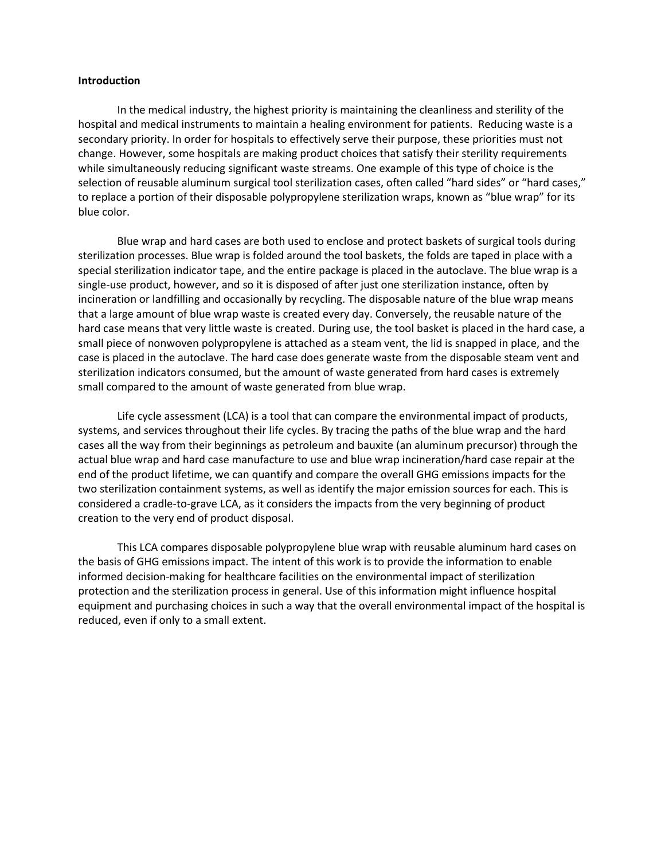#### **Introduction**

In the medical industry, the highest priority is maintaining the cleanliness and sterility of the hospital and medical instruments to maintain a healing environment for patients. Reducing waste is a secondary priority. In order for hospitals to effectively serve their purpose, these priorities must not change. However, some hospitals are making product choices that satisfy their sterility requirements while simultaneously reducing significant waste streams. One example of this type of choice is the selection of reusable aluminum surgical tool sterilization cases, often called "hard sides" or "hard cases," to replace a portion of their disposable polypropylene sterilization wraps, known as "blue wrap" for its blue color.

Blue wrap and hard cases are both used to enclose and protect baskets of surgical tools during sterilization processes. Blue wrap is folded around the tool baskets, the folds are taped in place with a special sterilization indicator tape, and the entire package is placed in the autoclave. The blue wrap is a single-use product, however, and so it is disposed of after just one sterilization instance, often by incineration or landfilling and occasionally by recycling. The disposable nature of the blue wrap means that a large amount of blue wrap waste is created every day. Conversely, the reusable nature of the hard case means that very little waste is created. During use, the tool basket is placed in the hard case, a small piece of nonwoven polypropylene is attached as a steam vent, the lid is snapped in place, and the case is placed in the autoclave. The hard case does generate waste from the disposable steam vent and sterilization indicators consumed, but the amount of waste generated from hard cases is extremely small compared to the amount of waste generated from blue wrap.

Life cycle assessment (LCA) is a tool that can compare the environmental impact of products, systems, and services throughout their life cycles. By tracing the paths of the blue wrap and the hard cases all the way from their beginnings as petroleum and bauxite (an aluminum precursor) through the actual blue wrap and hard case manufacture to use and blue wrap incineration/hard case repair at the end of the product lifetime, we can quantify and compare the overall GHG emissions impacts for the two sterilization containment systems, as well as identify the major emission sources for each. This is considered a cradle-to-grave LCA, as it considers the impacts from the very beginning of product creation to the very end of product disposal.

This LCA compares disposable polypropylene blue wrap with reusable aluminum hard cases on the basis of GHG emissions impact. The intent of this work is to provide the information to enable informed decision-making for healthcare facilities on the environmental impact of sterilization protection and the sterilization process in general. Use of this information might influence hospital equipment and purchasing choices in such a way that the overall environmental impact of the hospital is reduced, even if only to a small extent.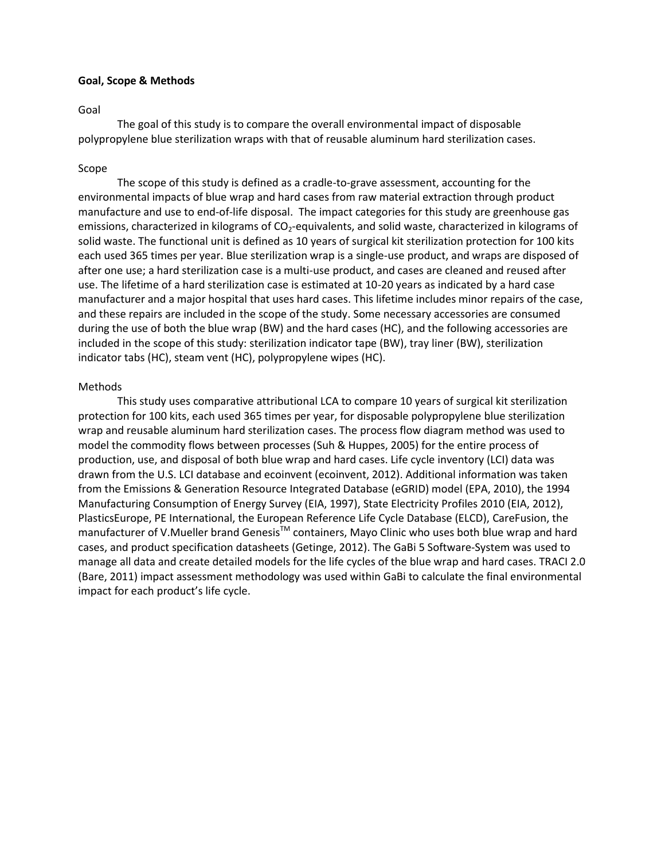#### **Goal, Scope & Methods**

#### Goal

The goal of this study is to compare the overall environmental impact of disposable polypropylene blue sterilization wraps with that of reusable aluminum hard sterilization cases.

#### Scope

The scope of this study is defined as a cradle-to-grave assessment, accounting for the environmental impacts of blue wrap and hard cases from raw material extraction through product manufacture and use to end-of-life disposal. The impact categories for this study are greenhouse gas emissions, characterized in kilograms of CO<sub>2</sub>-equivalents, and solid waste, characterized in kilograms of solid waste. The functional unit is defined as 10 years of surgical kit sterilization protection for 100 kits each used 365 times per year. Blue sterilization wrap is a single-use product, and wraps are disposed of after one use; a hard sterilization case is a multi-use product, and cases are cleaned and reused after use. The lifetime of a hard sterilization case is estimated at 10-20 years as indicated by a hard case manufacturer and a major hospital that uses hard cases. This lifetime includes minor repairs of the case, and these repairs are included in the scope of the study. Some necessary accessories are consumed during the use of both the blue wrap (BW) and the hard cases (HC), and the following accessories are included in the scope of this study: sterilization indicator tape (BW), tray liner (BW), sterilization indicator tabs (HC), steam vent (HC), polypropylene wipes (HC).

#### Methods

This study uses comparative attributional LCA to compare 10 years of surgical kit sterilization protection for 100 kits, each used 365 times per year, for disposable polypropylene blue sterilization wrap and reusable aluminum hard sterilization cases. The process flow diagram method was used to model the commodity flows between processes (Suh & Huppes, 2005) for the entire process of production, use, and disposal of both blue wrap and hard cases. Life cycle inventory (LCI) data was drawn from the U.S. LCI database and ecoinvent (ecoinvent, 2012). Additional information was taken from the Emissions & Generation Resource Integrated Database (eGRID) model (EPA, 2010), the 1994 Manufacturing Consumption of Energy Survey (EIA, 1997), State Electricity Profiles 2010 (EIA, 2012), PlasticsEurope, PE International, the European Reference Life Cycle Database (ELCD), CareFusion, the manufacturer of V.Mueller brand Genesis™ containers, Mayo Clinic who uses both blue wrap and hard cases, and product specification datasheets (Getinge, 2012). The GaBi 5 Software-System was used to manage all data and create detailed models for the life cycles of the blue wrap and hard cases. TRACI 2.0 (Bare, 2011) impact assessment methodology was used within GaBi to calculate the final environmental impact for each product's life cycle.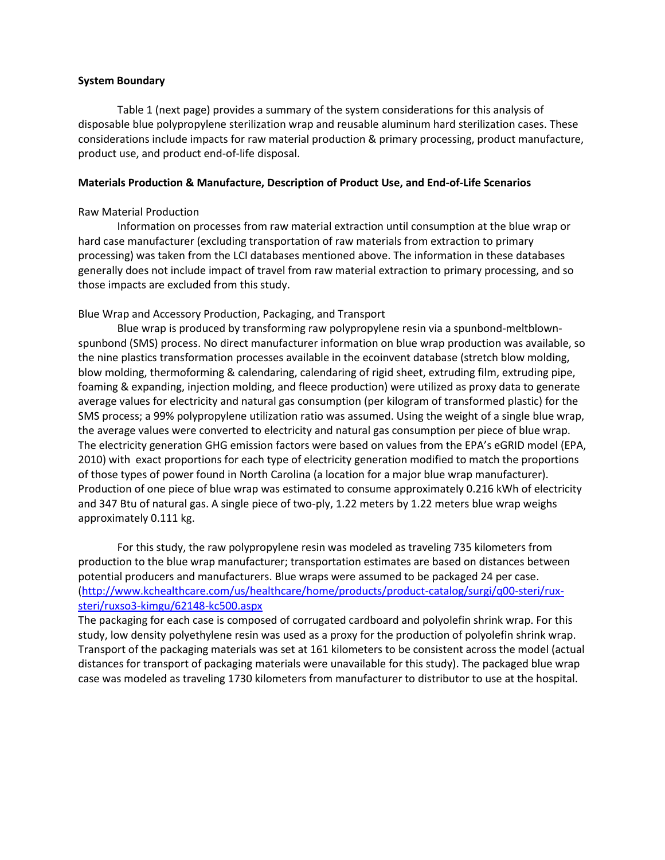### **System Boundary**

[Table 1](#page-5-0) (next page) provides a summary of the system considerations for this analysis of disposable blue polypropylene sterilization wrap and reusable aluminum hard sterilization cases. These considerations include impacts for raw material production & primary processing, product manufacture, product use, and product end-of-life disposal.

## **Materials Production & Manufacture, Description of Product Use, and End-of-Life Scenarios**

## Raw Material Production

Information on processes from raw material extraction until consumption at the blue wrap or hard case manufacturer (excluding transportation of raw materials from extraction to primary processing) was taken from the LCI databases mentioned above. The information in these databases generally does not include impact of travel from raw material extraction to primary processing, and so those impacts are excluded from this study.

## Blue Wrap and Accessory Production, Packaging, and Transport

Blue wrap is produced by transforming raw polypropylene resin via a spunbond-meltblownspunbond (SMS) process. No direct manufacturer information on blue wrap production was available, so the nine plastics transformation processes available in the ecoinvent database (stretch blow molding, blow molding, thermoforming & calendaring, calendaring of rigid sheet, extruding film, extruding pipe, foaming & expanding, injection molding, and fleece production) were utilized as proxy data to generate average values for electricity and natural gas consumption (per kilogram of transformed plastic) for the SMS process; a 99% polypropylene utilization ratio was assumed. Using the weight of a single blue wrap, the average values were converted to electricity and natural gas consumption per piece of blue wrap. The electricity generation GHG emission factors were based on values from the EPA's eGRID model (EPA, 2010) with exact proportions for each type of electricity generation modified to match the proportions of those types of power found in North Carolina (a location for a major blue wrap manufacturer). Production of one piece of blue wrap was estimated to consume approximately 0.216 kWh of electricity and 347 Btu of natural gas. A single piece of two-ply, 1.22 meters by 1.22 meters blue wrap weighs approximately 0.111 kg.

For this study, the raw polypropylene resin was modeled as traveling 735 kilometers from production to the blue wrap manufacturer; transportation estimates are based on distances between potential producers and manufacturers. Blue wraps were assumed to be packaged 24 per case. [\(http://www.kchealthcare.com/us/healthcare/home/products/product-catalog/surgi/q00-steri/rux](http://www.kchealthcare.com/us/healthcare/home/products/product-catalog/surgi/q00-steri/rux-steri/ruxso3-kimgu/62148-kc500.aspx)[steri/ruxso3-kimgu/62148-kc500.aspx](http://www.kchealthcare.com/us/healthcare/home/products/product-catalog/surgi/q00-steri/rux-steri/ruxso3-kimgu/62148-kc500.aspx)

The packaging for each case is composed of corrugated cardboard and polyolefin shrink wrap. For this study, low density polyethylene resin was used as a proxy for the production of polyolefin shrink wrap. Transport of the packaging materials was set at 161 kilometers to be consistent across the model (actual distances for transport of packaging materials were unavailable for this study). The packaged blue wrap case was modeled as traveling 1730 kilometers from manufacturer to distributor to use at the hospital.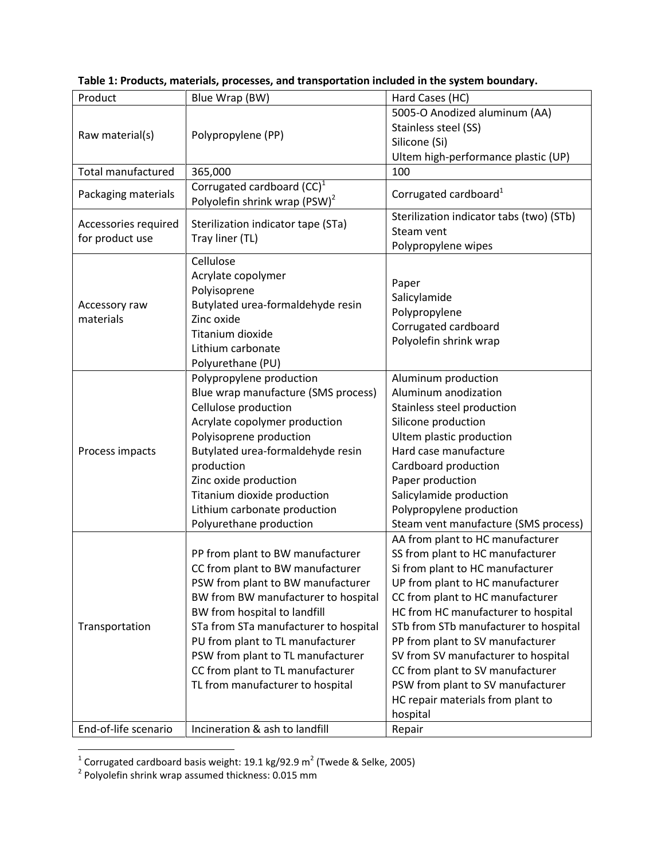| Product                    | Blue Wrap (BW)                            | Hard Cases (HC)                          |
|----------------------------|-------------------------------------------|------------------------------------------|
| Raw material(s)            | Polypropylene (PP)                        | 5005-O Anodized aluminum (AA)            |
|                            |                                           | Stainless steel (SS)                     |
|                            |                                           | Silicone (Si)                            |
|                            |                                           | Ultem high-performance plastic (UP)      |
| Total manufactured         | 365,000                                   | 100                                      |
| Packaging materials        | Corrugated cardboard $(CC)^1$             |                                          |
|                            | Polyolefin shrink wrap (PSW) <sup>2</sup> | Corrugated cardboard <sup>1</sup>        |
|                            |                                           | Sterilization indicator tabs (two) (STb) |
| Accessories required       | Sterilization indicator tape (STa)        | Steam vent                               |
| for product use            | Tray liner (TL)                           | Polypropylene wipes                      |
| Accessory raw<br>materials | Cellulose                                 |                                          |
|                            | Acrylate copolymer                        |                                          |
|                            | Polyisoprene                              | Paper                                    |
|                            | Butylated urea-formaldehyde resin         | Salicylamide                             |
|                            | Zinc oxide                                | Polypropylene                            |
|                            | Titanium dioxide                          | Corrugated cardboard                     |
|                            | Lithium carbonate                         | Polyolefin shrink wrap                   |
|                            | Polyurethane (PU)                         |                                          |
| Process impacts            | Polypropylene production                  | Aluminum production                      |
|                            | Blue wrap manufacture (SMS process)       | Aluminum anodization                     |
|                            | Cellulose production                      | Stainless steel production               |
|                            | Acrylate copolymer production             | Silicone production                      |
|                            | Polyisoprene production                   | Ultem plastic production                 |
|                            | Butylated urea-formaldehyde resin         | Hard case manufacture                    |
|                            | production                                | Cardboard production                     |
|                            | Zinc oxide production                     | Paper production                         |
|                            | Titanium dioxide production               | Salicylamide production                  |
|                            | Lithium carbonate production              | Polypropylene production                 |
|                            | Polyurethane production                   | Steam vent manufacture (SMS process)     |
|                            |                                           | AA from plant to HC manufacturer         |
| Transportation             | PP from plant to BW manufacturer          | SS from plant to HC manufacturer         |
|                            | CC from plant to BW manufacturer          | Si from plant to HC manufacturer         |
|                            | PSW from plant to BW manufacturer         | UP from plant to HC manufacturer         |
|                            | BW from BW manufacturer to hospital       | CC from plant to HC manufacturer         |
|                            | BW from hospital to landfill              | HC from HC manufacturer to hospital      |
|                            | STa from STa manufacturer to hospital     | STb from STb manufacturer to hospital    |
|                            | PU from plant to TL manufacturer          | PP from plant to SV manufacturer         |
|                            | PSW from plant to TL manufacturer         | SV from SV manufacturer to hospital      |
|                            | CC from plant to TL manufacturer          | CC from plant to SV manufacturer         |
|                            | TL from manufacturer to hospital          | PSW from plant to SV manufacturer        |
|                            |                                           | HC repair materials from plant to        |
|                            |                                           | hospital                                 |
| End-of-life scenario       | Incineration & ash to landfill            |                                          |
|                            |                                           | Repair                                   |

<span id="page-5-0"></span>**Table 1: Products, materials, processes, and transportation included in the system boundary.**

 1 Corrugated cardboard basis weight: 19.1 kg/92.9 m<sup>2</sup> (Twede & Selke, 2005) 2 Polyolefin shrink wrap assumed thickness: 0.015 mm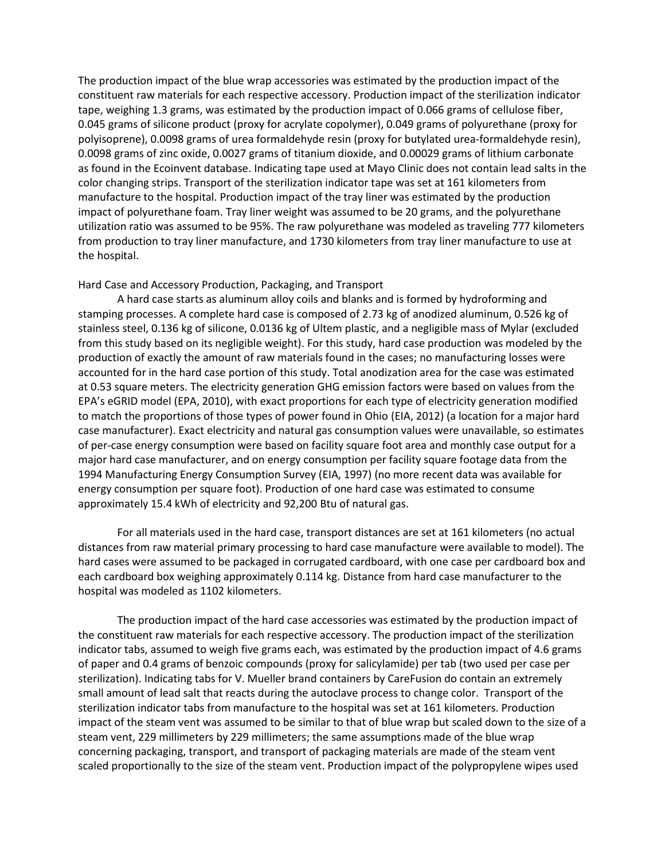The production impact of the blue wrap accessories was estimated by the production impact of the constituent raw materials for each respective accessory. Production impact of the sterilization indicator tape, weighing 1.3 grams, was estimated by the production impact of 0.066 grams of cellulose fiber, 0.045 grams of silicone product (proxy for acrylate copolymer), 0.049 grams of polyurethane (proxy for polyisoprene), 0.0098 grams of urea formaldehyde resin (proxy for butylated urea-formaldehyde resin), 0.0098 grams of zinc oxide, 0.0027 grams of titanium dioxide, and 0.00029 grams of lithium carbonate as found in the Ecoinvent database. Indicating tape used at Mayo Clinic does not contain lead salts in the color changing strips. Transport of the sterilization indicator tape was set at 161 kilometers from manufacture to the hospital. Production impact of the tray liner was estimated by the production impact of polyurethane foam. Tray liner weight was assumed to be 20 grams, and the polyurethane utilization ratio was assumed to be 95%. The raw polyurethane was modeled as traveling 777 kilometers from production to tray liner manufacture, and 1730 kilometers from tray liner manufacture to use at the hospital.

#### Hard Case and Accessory Production, Packaging, and Transport

A hard case starts as aluminum alloy coils and blanks and is formed by hydroforming and stamping processes. A complete hard case is composed of 2.73 kg of anodized aluminum, 0.526 kg of stainless steel, 0.136 kg of silicone, 0.0136 kg of Ultem plastic, and a negligible mass of Mylar (excluded from this study based on its negligible weight). For this study, hard case production was modeled by the production of exactly the amount of raw materials found in the cases; no manufacturing losses were accounted for in the hard case portion of this study. Total anodization area for the case was estimated at 0.53 square meters. The electricity generation GHG emission factors were based on values from the EPA's eGRID model (EPA, 2010), with exact proportions for each type of electricity generation modified to match the proportions of those types of power found in Ohio (EIA, 2012) (a location for a major hard case manufacturer). Exact electricity and natural gas consumption values were unavailable, so estimates of per-case energy consumption were based on facility square foot area and monthly case output for a major hard case manufacturer, and on energy consumption per facility square footage data from the 1994 Manufacturing Energy Consumption Survey (EIA, 1997) (no more recent data was available for energy consumption per square foot). Production of one hard case was estimated to consume approximately 15.4 kWh of electricity and 92,200 Btu of natural gas.

For all materials used in the hard case, transport distances are set at 161 kilometers (no actual distances from raw material primary processing to hard case manufacture were available to model). The hard cases were assumed to be packaged in corrugated cardboard, with one case per cardboard box and each cardboard box weighing approximately 0.114 kg. Distance from hard case manufacturer to the hospital was modeled as 1102 kilometers.

The production impact of the hard case accessories was estimated by the production impact of the constituent raw materials for each respective accessory. The production impact of the sterilization indicator tabs, assumed to weigh five grams each, was estimated by the production impact of 4.6 grams of paper and 0.4 grams of benzoic compounds (proxy for salicylamide) per tab (two used per case per sterilization). Indicating tabs for V. Mueller brand containers by CareFusion do contain an extremely small amount of lead salt that reacts during the autoclave process to change color. Transport of the sterilization indicator tabs from manufacture to the hospital was set at 161 kilometers. Production impact of the steam vent was assumed to be similar to that of blue wrap but scaled down to the size of a steam vent, 229 millimeters by 229 millimeters; the same assumptions made of the blue wrap concerning packaging, transport, and transport of packaging materials are made of the steam vent scaled proportionally to the size of the steam vent. Production impact of the polypropylene wipes used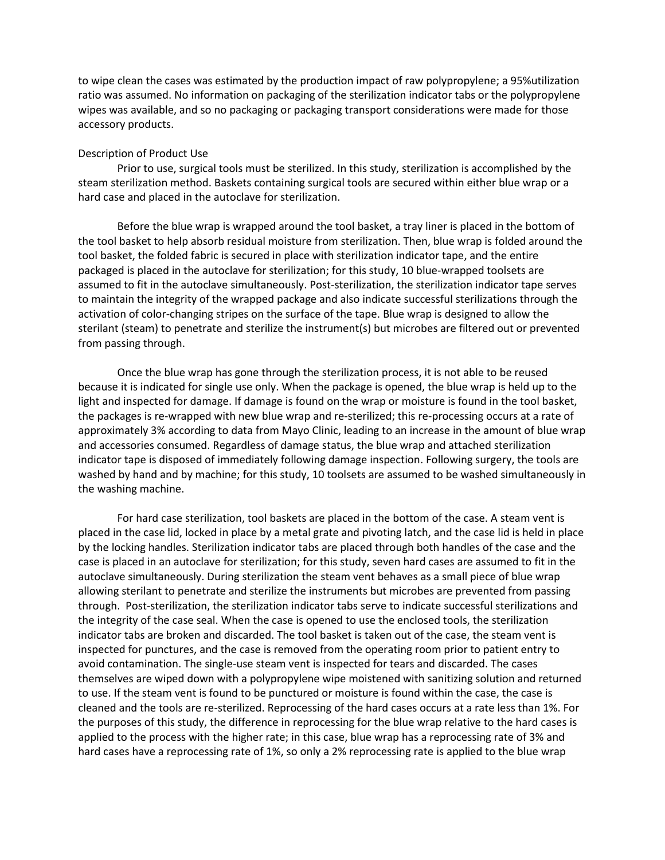to wipe clean the cases was estimated by the production impact of raw polypropylene; a 95%utilization ratio was assumed. No information on packaging of the sterilization indicator tabs or the polypropylene wipes was available, and so no packaging or packaging transport considerations were made for those accessory products.

#### Description of Product Use

Prior to use, surgical tools must be sterilized. In this study, sterilization is accomplished by the steam sterilization method. Baskets containing surgical tools are secured within either blue wrap or a hard case and placed in the autoclave for sterilization.

Before the blue wrap is wrapped around the tool basket, a tray liner is placed in the bottom of the tool basket to help absorb residual moisture from sterilization. Then, blue wrap is folded around the tool basket, the folded fabric is secured in place with sterilization indicator tape, and the entire packaged is placed in the autoclave for sterilization; for this study, 10 blue-wrapped toolsets are assumed to fit in the autoclave simultaneously. Post-sterilization, the sterilization indicator tape serves to maintain the integrity of the wrapped package and also indicate successful sterilizations through the activation of color-changing stripes on the surface of the tape. Blue wrap is designed to allow the sterilant (steam) to penetrate and sterilize the instrument(s) but microbes are filtered out or prevented from passing through.

Once the blue wrap has gone through the sterilization process, it is not able to be reused because it is indicated for single use only. When the package is opened, the blue wrap is held up to the light and inspected for damage. If damage is found on the wrap or moisture is found in the tool basket, the packages is re-wrapped with new blue wrap and re-sterilized; this re-processing occurs at a rate of approximately 3% according to data from Mayo Clinic, leading to an increase in the amount of blue wrap and accessories consumed. Regardless of damage status, the blue wrap and attached sterilization indicator tape is disposed of immediately following damage inspection. Following surgery, the tools are washed by hand and by machine; for this study, 10 toolsets are assumed to be washed simultaneously in the washing machine.

For hard case sterilization, tool baskets are placed in the bottom of the case. A steam vent is placed in the case lid, locked in place by a metal grate and pivoting latch, and the case lid is held in place by the locking handles. Sterilization indicator tabs are placed through both handles of the case and the case is placed in an autoclave for sterilization; for this study, seven hard cases are assumed to fit in the autoclave simultaneously. During sterilization the steam vent behaves as a small piece of blue wrap allowing sterilant to penetrate and sterilize the instruments but microbes are prevented from passing through. Post-sterilization, the sterilization indicator tabs serve to indicate successful sterilizations and the integrity of the case seal. When the case is opened to use the enclosed tools, the sterilization indicator tabs are broken and discarded. The tool basket is taken out of the case, the steam vent is inspected for punctures, and the case is removed from the operating room prior to patient entry to avoid contamination. The single-use steam vent is inspected for tears and discarded. The cases themselves are wiped down with a polypropylene wipe moistened with sanitizing solution and returned to use. If the steam vent is found to be punctured or moisture is found within the case, the case is cleaned and the tools are re-sterilized. Reprocessing of the hard cases occurs at a rate less than 1%. For the purposes of this study, the difference in reprocessing for the blue wrap relative to the hard cases is applied to the process with the higher rate; in this case, blue wrap has a reprocessing rate of 3% and hard cases have a reprocessing rate of 1%, so only a 2% reprocessing rate is applied to the blue wrap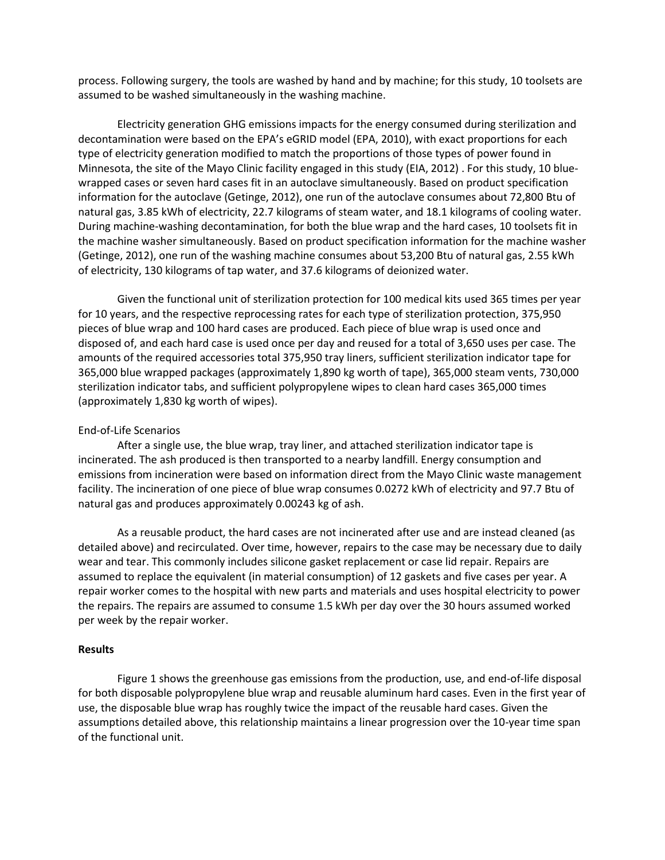process. Following surgery, the tools are washed by hand and by machine; for this study, 10 toolsets are assumed to be washed simultaneously in the washing machine.

Electricity generation GHG emissions impacts for the energy consumed during sterilization and decontamination were based on the EPA's eGRID model (EPA, 2010), with exact proportions for each type of electricity generation modified to match the proportions of those types of power found in Minnesota, the site of the Mayo Clinic facility engaged in this study (EIA, 2012) . For this study, 10 bluewrapped cases or seven hard cases fit in an autoclave simultaneously. Based on product specification information for the autoclave (Getinge, 2012), one run of the autoclave consumes about 72,800 Btu of natural gas, 3.85 kWh of electricity, 22.7 kilograms of steam water, and 18.1 kilograms of cooling water. During machine-washing decontamination, for both the blue wrap and the hard cases, 10 toolsets fit in the machine washer simultaneously. Based on product specification information for the machine washer (Getinge, 2012), one run of the washing machine consumes about 53,200 Btu of natural gas, 2.55 kWh of electricity, 130 kilograms of tap water, and 37.6 kilograms of deionized water.

Given the functional unit of sterilization protection for 100 medical kits used 365 times per year for 10 years, and the respective reprocessing rates for each type of sterilization protection, 375,950 pieces of blue wrap and 100 hard cases are produced. Each piece of blue wrap is used once and disposed of, and each hard case is used once per day and reused for a total of 3,650 uses per case. The amounts of the required accessories total 375,950 tray liners, sufficient sterilization indicator tape for 365,000 blue wrapped packages (approximately 1,890 kg worth of tape), 365,000 steam vents, 730,000 sterilization indicator tabs, and sufficient polypropylene wipes to clean hard cases 365,000 times (approximately 1,830 kg worth of wipes).

#### End-of-Life Scenarios

After a single use, the blue wrap, tray liner, and attached sterilization indicator tape is incinerated. The ash produced is then transported to a nearby landfill. Energy consumption and emissions from incineration were based on information direct from the Mayo Clinic waste management facility. The incineration of one piece of blue wrap consumes 0.0272 kWh of electricity and 97.7 Btu of natural gas and produces approximately 0.00243 kg of ash.

As a reusable product, the hard cases are not incinerated after use and are instead cleaned (as detailed above) and recirculated. Over time, however, repairs to the case may be necessary due to daily wear and tear. This commonly includes silicone gasket replacement or case lid repair. Repairs are assumed to replace the equivalent (in material consumption) of 12 gaskets and five cases per year. A repair worker comes to the hospital with new parts and materials and uses hospital electricity to power the repairs. The repairs are assumed to consume 1.5 kWh per day over the 30 hours assumed worked per week by the repair worker.

#### **Results**

[Figure 1](#page-9-0) shows the greenhouse gas emissions from the production, use, and end-of-life disposal for both disposable polypropylene blue wrap and reusable aluminum hard cases. Even in the first year of use, the disposable blue wrap has roughly twice the impact of the reusable hard cases. Given the assumptions detailed above, this relationship maintains a linear progression over the 10-year time span of the functional unit.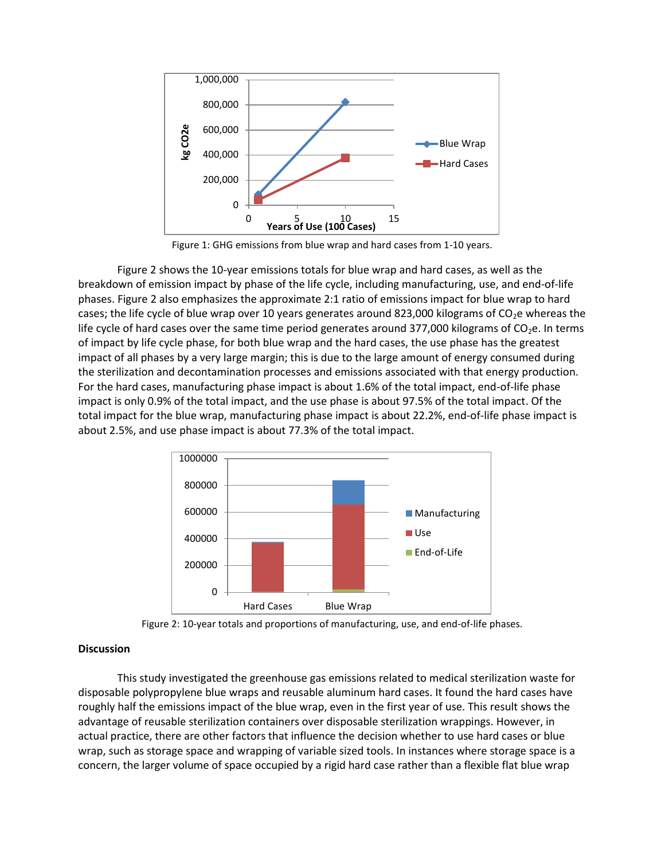

Figure 1: GHG emissions from blue wrap and hard cases from 1-10 years.

<span id="page-9-0"></span>[Figure 2](#page-9-1) shows the 10-year emissions totals for blue wrap and hard cases, as well as the breakdown of emission impact by phase of the life cycle, including manufacturing, use, and end-of-life phases. [Figure 2](#page-9-1) also emphasizes the approximate 2:1 ratio of emissions impact for blue wrap to hard cases; the life cycle of blue wrap over 10 years generates around 823,000 kilograms of  $CO<sub>2</sub>e$  whereas the life cycle of hard cases over the same time period generates around 377,000 kilograms of  $CO<sub>2</sub>e$ . In terms of impact by life cycle phase, for both blue wrap and the hard cases, the use phase has the greatest impact of all phases by a very large margin; this is due to the large amount of energy consumed during the sterilization and decontamination processes and emissions associated with that energy production. For the hard cases, manufacturing phase impact is about 1.6% of the total impact, end-of-life phase impact is only 0.9% of the total impact, and the use phase is about 97.5% of the total impact. Of the total impact for the blue wrap, manufacturing phase impact is about 22.2%, end-of-life phase impact is about 2.5%, and use phase impact is about 77.3% of the total impact.





### <span id="page-9-1"></span>**Discussion**

This study investigated the greenhouse gas emissions related to medical sterilization waste for disposable polypropylene blue wraps and reusable aluminum hard cases. It found the hard cases have roughly half the emissions impact of the blue wrap, even in the first year of use. This result shows the advantage of reusable sterilization containers over disposable sterilization wrappings. However, in actual practice, there are other factors that influence the decision whether to use hard cases or blue wrap, such as storage space and wrapping of variable sized tools. In instances where storage space is a concern, the larger volume of space occupied by a rigid hard case rather than a flexible flat blue wrap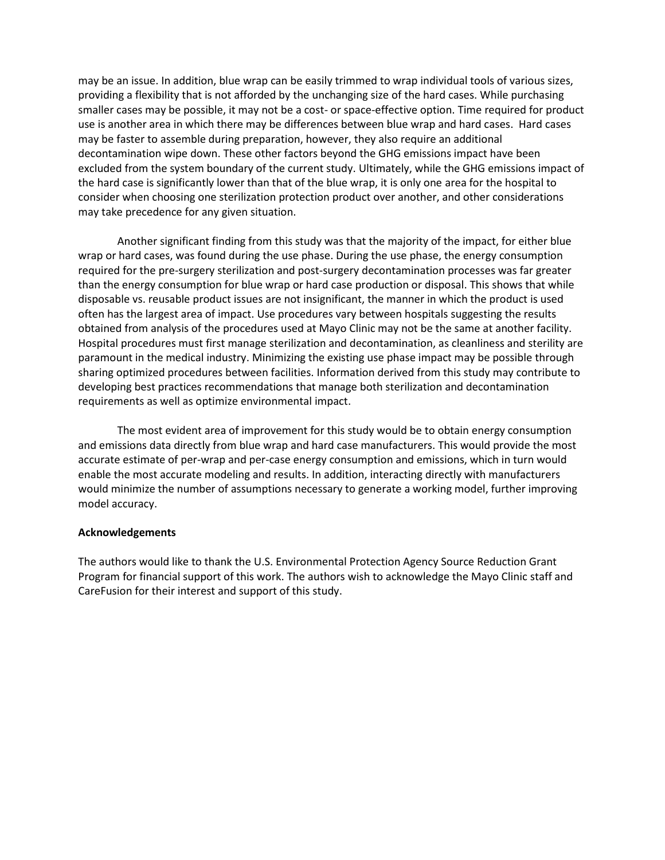may be an issue. In addition, blue wrap can be easily trimmed to wrap individual tools of various sizes, providing a flexibility that is not afforded by the unchanging size of the hard cases. While purchasing smaller cases may be possible, it may not be a cost- or space-effective option. Time required for product use is another area in which there may be differences between blue wrap and hard cases. Hard cases may be faster to assemble during preparation, however, they also require an additional decontamination wipe down. These other factors beyond the GHG emissions impact have been excluded from the system boundary of the current study. Ultimately, while the GHG emissions impact of the hard case is significantly lower than that of the blue wrap, it is only one area for the hospital to consider when choosing one sterilization protection product over another, and other considerations may take precedence for any given situation.

Another significant finding from this study was that the majority of the impact, for either blue wrap or hard cases, was found during the use phase. During the use phase, the energy consumption required for the pre-surgery sterilization and post-surgery decontamination processes was far greater than the energy consumption for blue wrap or hard case production or disposal. This shows that while disposable vs. reusable product issues are not insignificant, the manner in which the product is used often has the largest area of impact. Use procedures vary between hospitals suggesting the results obtained from analysis of the procedures used at Mayo Clinic may not be the same at another facility. Hospital procedures must first manage sterilization and decontamination, as cleanliness and sterility are paramount in the medical industry. Minimizing the existing use phase impact may be possible through sharing optimized procedures between facilities. Information derived from this study may contribute to developing best practices recommendations that manage both sterilization and decontamination requirements as well as optimize environmental impact.

The most evident area of improvement for this study would be to obtain energy consumption and emissions data directly from blue wrap and hard case manufacturers. This would provide the most accurate estimate of per-wrap and per-case energy consumption and emissions, which in turn would enable the most accurate modeling and results. In addition, interacting directly with manufacturers would minimize the number of assumptions necessary to generate a working model, further improving model accuracy.

### **Acknowledgements**

The authors would like to thank the U.S. Environmental Protection Agency Source Reduction Grant Program for financial support of this work. The authors wish to acknowledge the Mayo Clinic staff and CareFusion for their interest and support of this study.